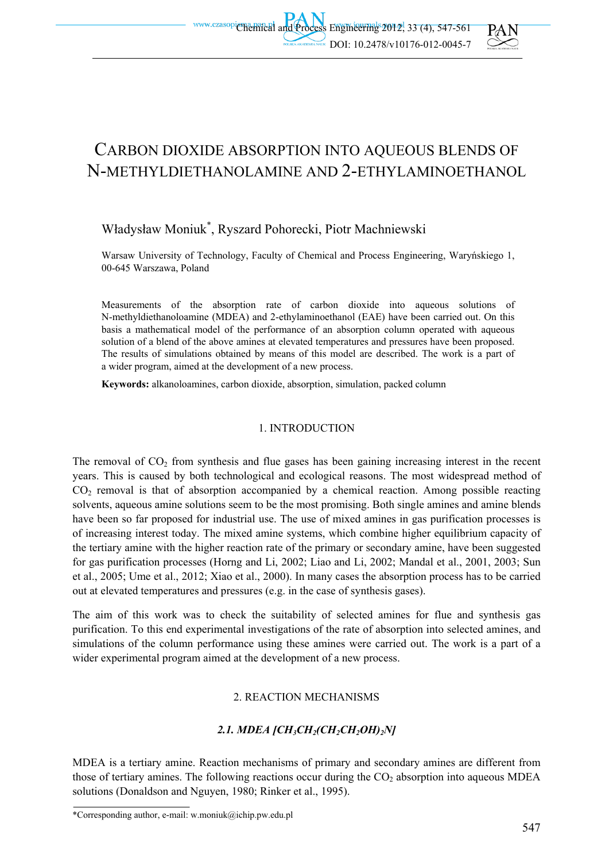

# CARBON DIOXIDE ABSORPTION INTO AQUEOUS BLENDS OF N-METHYLDIETHANOLAMINE AND 2-ETHYLAMINOETHANOL

## Władysław Moniuk\* , Ryszard Pohorecki, Piotr Machniewski

Warsaw University of Technology, Faculty of Chemical and Process Engineering, Waryńskiego 1, 00-645 Warszawa, Poland

Measurements of the absorption rate of carbon dioxide into aqueous solutions of N-methyldiethanoloamine (MDEA) and 2-ethylaminoethanol (EAE) have been carried out. On this basis a mathematical model of the performance of an absorption column operated with aqueous solution of a blend of the above amines at elevated temperatures and pressures have been proposed. The results of simulations obtained by means of this model are described. The work is a part of a wider program, aimed at the development of a new process.

**Keywords:** alkanoloamines, carbon dioxide, absorption, simulation, packed column

## 1. INTRODUCTION

The removal of  $CO<sub>2</sub>$  from synthesis and flue gases has been gaining increasing interest in the recent years. This is caused by both technological and ecological reasons. The most widespread method of  $CO<sub>2</sub>$  removal is that of absorption accompanied by a chemical reaction. Among possible reacting solvents, aqueous amine solutions seem to be the most promising. Both single amines and amine blends have been so far proposed for industrial use. The use of mixed amines in gas purification processes is of increasing interest today. The mixed amine systems, which combine higher equilibrium capacity of the tertiary amine with the higher reaction rate of the primary or secondary amine, have been suggested for gas purification processes (Horng and Li, 2002; Liao and Li, 2002; Mandal et al., 2001, 2003; Sun et al., 2005; Ume et al., 2012; Xiao et al., 2000). In many cases the absorption process has to be carried out at elevated temperatures and pressures (e.g. in the case of synthesis gases).

The aim of this work was to check the suitability of selected amines for flue and synthesis gas purification. To this end experimental investigations of the rate of absorption into selected amines, and simulations of the column performance using these amines were carried out. The work is a part of a wider experimental program aimed at the development of a new process.

## 2. REACTION MECHANISMS

## *2.1. MDEA [CH3CH2(CH2CH2OH)2N]*

MDEA is a tertiary amine. Reaction mechanisms of primary and secondary amines are different from those of tertiary amines. The following reactions occur during the  $CO<sub>2</sub>$  absorption into aqueous MDEA solutions (Donaldson and Nguyen, 1980; Rinker et al., 1995).

<sup>\*</sup>Corresponding author, e-mail: w.moniuk@ichip.pw.edu.pl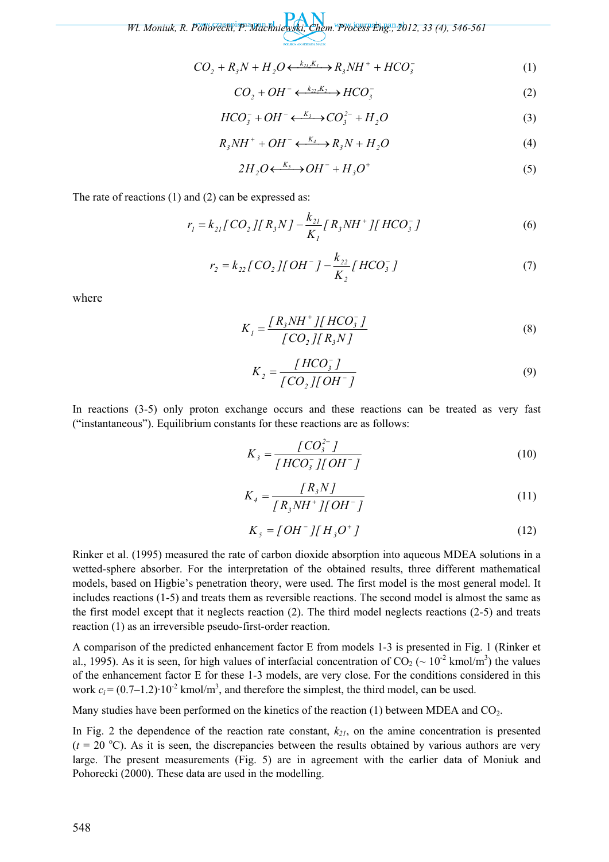$$
CO_2 + R_3N + H_2O \longleftrightarrow k_{2l}K_l \longrightarrow R_3NH^+ + HCO_3^-
$$
 (1)

$$
CO_2 + OH^- \longleftrightarrow \text{HCO}_3^- \tag{2}
$$

$$
HCO_3^- + OH^- \longleftrightarrow CO_3^{2-} + H_2O \tag{3}
$$

$$
R_{3}NH^{+} + OH^{-} \xleftarrow{K_{4}} R_{3}N + H_{2}O
$$
\n<sup>(4)</sup>

$$
2H_2O \xleftarrow{K_5} OH^- + H_3O^+ \tag{5}
$$

The rate of reactions (1) and (2) can be expressed as:

$$
r_{I} = k_{2I} [CO_{2}][R_{3}N] - \frac{k_{2I}}{K_{I}} [R_{3}NH^{+}][HCO_{3}^{-}] \tag{6}
$$

$$
r_2 = k_{22} [CO_2][OH^-] - \frac{k_{22}}{K_2} [HCO_3^-]
$$
 (7)

where

$$
K_{I} = \frac{\left[ R_{3}NH^{+} \right] \left[ HCO_{3}^{-} \right]}{\left[ CO_{2} \right] \left[ R_{3}N \right]}
$$
 (8)

$$
K_2 = \frac{[HCO_3^-]}{[CO_2][OH^-]}
$$
\n(9)

In reactions (3-5) only proton exchange occurs and these reactions can be treated as very fast ("instantaneous"). Equilibrium constants for these reactions are as follows:

$$
K_{3} = \frac{[CO_{3}^{2-}]}{[HCO_{3}^{-}][OH^{-}]} \tag{10}
$$

$$
K_4 = \frac{[R_s N]}{[R_s N H^+] [OH^-]}
$$
 (11)

$$
K_{s} = [OH^{-}][H_{3}O^{+}]
$$
 (12)

Rinker et al. (1995) measured the rate of carbon dioxide absorption into aqueous MDEA solutions in a wetted-sphere absorber. For the interpretation of the obtained results, three different mathematical models, based on Higbie's penetration theory, were used. The first model is the most general model. It includes reactions (1-5) and treats them as reversible reactions. The second model is almost the same as the first model except that it neglects reaction (2). The third model neglects reactions (2-5) and treats reaction (1) as an irreversible pseudo-first-order reaction.

A comparison of the predicted enhancement factor E from models 1-3 is presented in Fig. 1 (Rinker et al., 1995). As it is seen, for high values of interfacial concentration of  $CO_2$  ( $\sim 10^{-2}$  kmol/m<sup>3</sup>) the values of the enhancement factor E for these 1-3 models, are very close. For the conditions considered in this work  $c_i = (0.7-1.2) \cdot 10^{-2}$  kmol/m<sup>3</sup>, and therefore the simplest, the third model, can be used.

Many studies have been performed on the kinetics of the reaction  $(1)$  between MDEA and  $CO<sub>2</sub>$ .

In Fig. 2 the dependence of the reaction rate constant,  $k_{2l}$ , on the amine concentration is presented  $(t = 20$  °C). As it is seen, the discrepancies between the results obtained by various authors are very large. The present measurements (Fig. 5) are in agreement with the earlier data of Moniuk and Pohorecki (2000). These data are used in the modelling.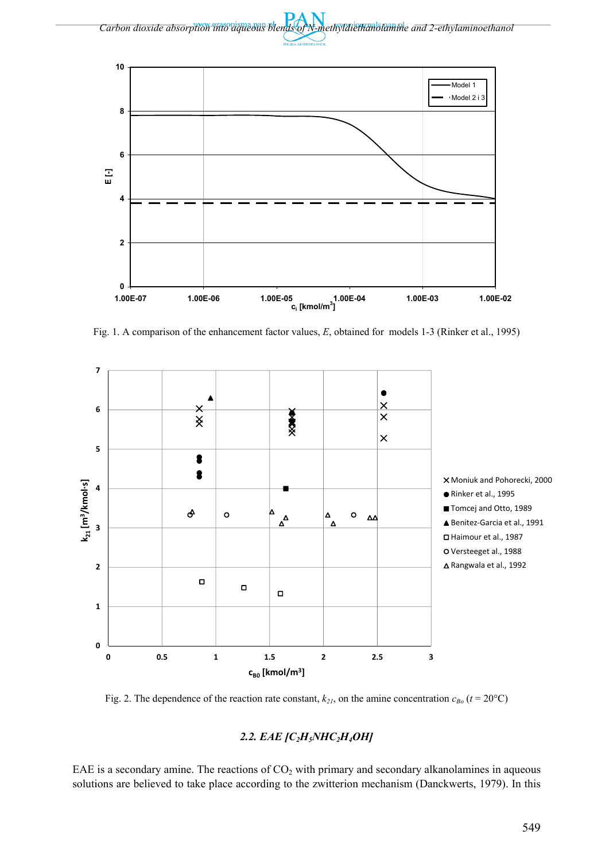



Fig. 1. A comparison of the enhancement factor values, *E*, obtained for models 1-3 (Rinker et al., 1995)



Fig. 2. The dependence of the reaction rate constant,  $k_{21}$ , on the amine concentration  $c_{Bo}$  ( $t = 20^{\circ}$ C)

## *2.2. EAE [C2H5NHC2H4OH]*

EAE is a secondary amine. The reactions of  $CO<sub>2</sub>$  with primary and secondary alkanolamines in aqueous solutions are believed to take place according to the zwitterion mechanism (Danckwerts, 1979). In this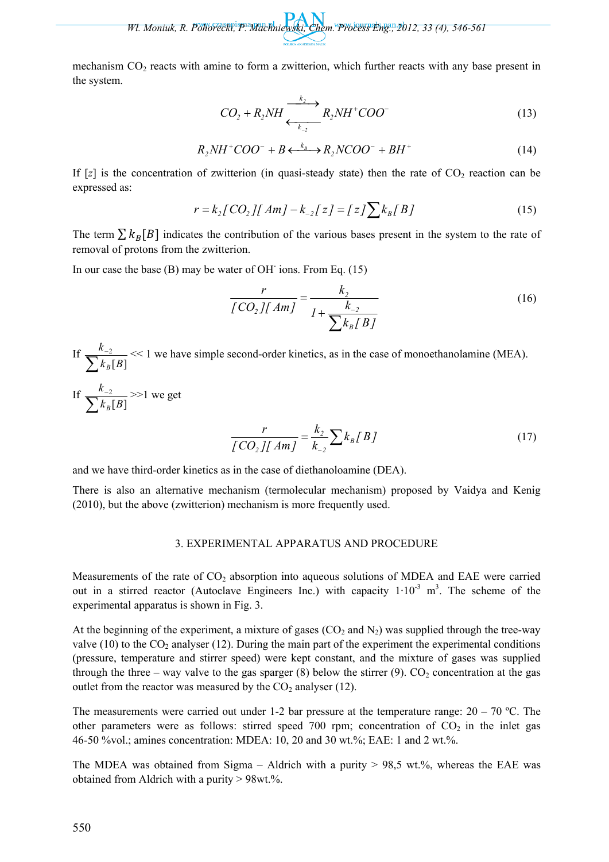mechanism CO<sub>2</sub> reacts with amine to form a zwitterion, which further reacts with any base present in the system.

$$
CO_2 + R_2NH \xrightarrow[k_{2}]{k_2} R_2NH^+COO^-(13)
$$

$$
R_2NH^+COO^- + B \xleftarrow{k_B} R_2NCOO^- + BH^+ \tag{14}
$$

If  $[z]$  is the concentration of zwitterion (in quasi-steady state) then the rate of  $CO_2$  reaction can be expressed as:

$$
r = k_2 [CO_2][Am] - k_{-2}[z] = [z] \sum k_B [B]
$$
\n(15)

The term  $\sum k_B[B]$  indicates the contribution of the various bases present in the system to the rate of removal of protons from the zwitterion.

In our case the base (B) may be water of OH<sup>-</sup> ions. From Eq. (15)

$$
\frac{r}{[CO_2][Am]} = \frac{k_2}{1 + \frac{k_{-2}}{\sum k_B [B]}}
$$
(16)

If  $\frac{k_{-2}}{\sum k_B[B]}$ 2  $k_B$  $B$ *k B* << 1 we have simple second-order kinetics, as in the case of monoethanolamine (MEA).

If  $\frac{k_{-2}}{\sum k_B[B]}$ 2  $k_B$  $B$ *k B* >>1 we get

$$
\frac{r}{[CO_2][Am]} = \frac{k_2}{k_{-2}} \sum k_B [B]
$$
 (17)

and we have third-order kinetics as in the case of diethanoloamine (DEA).

There is also an alternative mechanism (termolecular mechanism) proposed by Vaidya and Kenig (2010), but the above (zwitterion) mechanism is more frequently used.

#### 3. EXPERIMENTAL APPARATUS AND PROCEDURE

Measurements of the rate of  $CO<sub>2</sub>$  absorption into aqueous solutions of MDEA and EAE were carried out in a stirred reactor (Autoclave Engineers Inc.) with capacity  $1 \cdot 10^{-3}$  m<sup>3</sup>. The scheme of the experimental apparatus is shown in Fig. 3.

At the beginning of the experiment, a mixture of gases  $(CO_2$  and  $N_2)$  was supplied through the tree-way valve (10) to the  $CO_2$  analyser (12). During the main part of the experiment the experimental conditions (pressure, temperature and stirrer speed) were kept constant, and the mixture of gases was supplied through the three – way valve to the gas sparger (8) below the stirrer (9).  $CO_2$  concentration at the gas outlet from the reactor was measured by the  $CO<sub>2</sub>$  analyser (12).

The measurements were carried out under 1-2 bar pressure at the temperature range:  $20 - 70$  °C. The other parameters were as follows: stirred speed 700 rpm; concentration of  $CO<sub>2</sub>$  in the inlet gas 46-50 %vol.; amines concentration: MDEA: 10, 20 and 30 wt.%; EAE: 1 and 2 wt.%.

The MDEA was obtained from Sigma – Aldrich with a purity  $> 98.5$  wt.%, whereas the EAE was obtained from Aldrich with a purity > 98wt.%.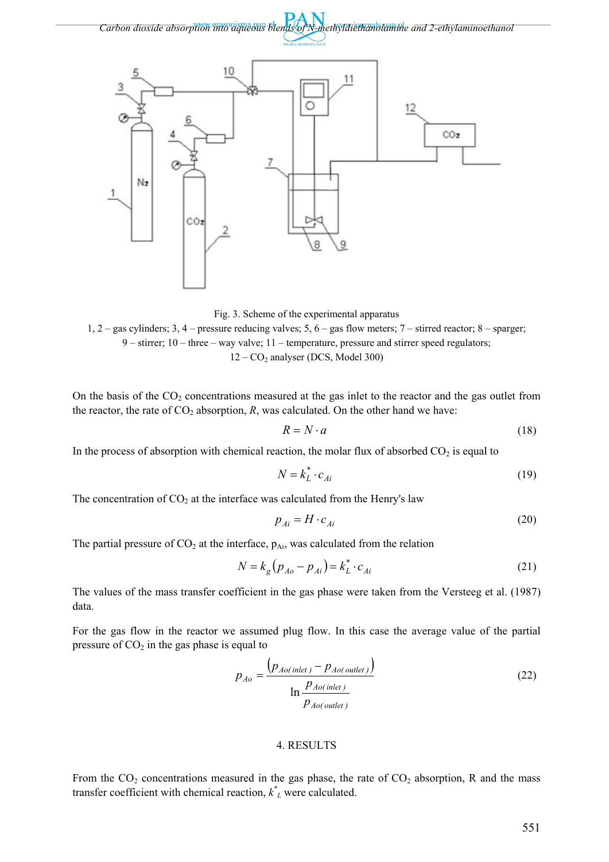

Fig. 3. Scheme of the experimental apparatus

1, 2 – gas cylinders; 3, 4 – pressure reducing valves; 5, 6 – gas flow meters; 7 – stirred reactor; 8 – sparger;  $9 -$  stirrer;  $10 -$  three – way valve;  $11 -$  temperature, pressure and stirrer speed regulators;  $12 - CO<sub>2</sub>$  analyser (DCS, Model 300)

On the basis of the  $CO<sub>2</sub>$  concentrations measured at the gas inlet to the reactor and the gas outlet from the reactor, the rate of  $CO<sub>2</sub>$  absorption, *R*, was calculated. On the other hand we have:

$$
R = N \cdot a \tag{18}
$$

In the process of absorption with chemical reaction, the molar flux of absorbed  $CO<sub>2</sub>$  is equal to

$$
N = k_L^* \cdot c_{Ai} \tag{19}
$$

The concentration of  $CO<sub>2</sub>$  at the interface was calculated from the Henry's law

$$
p_{Ai} = H \cdot c_{Ai} \tag{20}
$$

The partial pressure of  $CO<sub>2</sub>$  at the interface,  $p_{Ai}$ , was calculated from the relation

$$
N = k_g (p_{Ao} - p_{Ai}) = k_L^* \cdot c_{Ai}
$$
 (21)

The values of the mass transfer coefficient in the gas phase were taken from the Versteeg et al. (1987) data.

For the gas flow in the reactor we assumed plug flow. In this case the average value of the partial pressure of  $CO<sub>2</sub>$  in the gas phase is equal to

$$
p_{Ao} = \frac{\left(p_{Ao(inlet)} - p_{Ao(outlet)}\right)}{\ln \frac{p_{Ao(inlet)}}{p_{Ao(outlet)}}}
$$
\n(22)

#### 4. RESULTS

From the  $CO_2$  concentrations measured in the gas phase, the rate of  $CO_2$  absorption, R and the mass transfer coefficient with chemical reaction,  $\chi^*$  were calculated.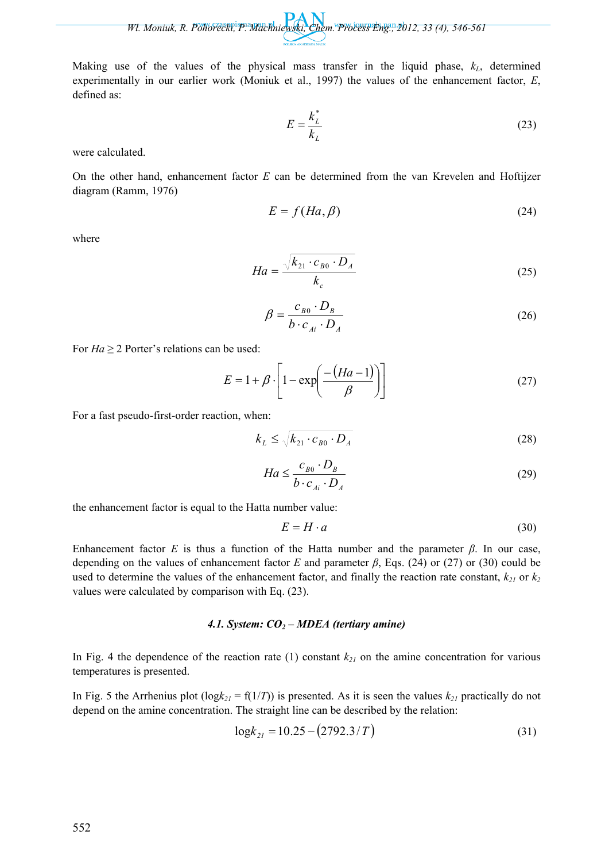Making use of the values of the physical mass transfer in the liquid phase,  $k_L$ , determined experimentally in our earlier work (Moniuk et al., 1997) the values of the enhancement factor, *E*, defined as:

$$
E = \frac{k_L^*}{k_L} \tag{23}
$$

were calculated.

On the other hand, enhancement factor *E* can be determined from the van Krevelen and Hoftijzer diagram (Ramm, 1976)

$$
E = f(Ha, \beta) \tag{24}
$$

where

$$
Ha = \frac{\sqrt{k_{21} \cdot c_{B0} \cdot D_A}}{k_c}
$$
 (25)

$$
\beta = \frac{c_{B0} \cdot D_B}{b \cdot c_{Ai} \cdot D_A}
$$
 (26)

For  $Ha \geq 2$  Porter's relations can be used:

$$
E = 1 + \beta \cdot \left[ 1 - \exp\left(\frac{-(Ha - 1)}{\beta}\right) \right]
$$
 (27)

For a fast pseudo-first-order reaction, when:

$$
k_L \le \sqrt{k_{21} \cdot c_{B0} \cdot D_A}
$$
 (28)

$$
Ha \le \frac{c_{B0} \cdot D_B}{b \cdot c_{Ai} \cdot D_A}
$$
 (29)

the enhancement factor is equal to the Hatta number value:

$$
E = H \cdot a \tag{30}
$$

Enhancement factor *E* is thus a function of the Hatta number and the parameter *β*. In our case, depending on the values of enhancement factor *E* and parameter *β*, Eqs. (24) or (27) or (30) could be used to determine the values of the enhancement factor, and finally the reaction rate constant,  $k_{21}$  or  $k_2$ values were calculated by comparison with Eq. (23).

#### *4.1. System: CO2 – MDEA (tertiary amine)*

In Fig. 4 the dependence of the reaction rate (1) constant  $k_{21}$  on the amine concentration for various temperatures is presented.

In Fig. 5 the Arrhenius plot ( $log k_{21} = f(1/T)$ ) is presented. As it is seen the values  $k_{21}$  practically do not depend on the amine concentration. The straight line can be described by the relation:

$$
\log k_{21} = 10.25 - (2792.3/T) \tag{31}
$$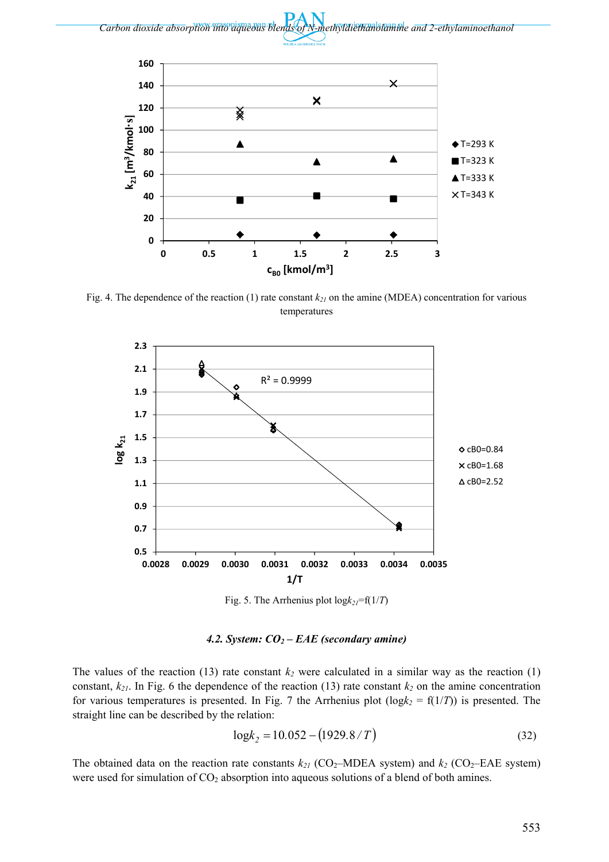



Fig. 4. The dependence of the reaction (1) rate constant  $k_{21}$  on the amine (MDEA) concentration for various temperatures



Fig. 5. The Arrhenius plot  $log k_{2I} = f(1/T)$ 

*4.2. System: CO2 – EAE (secondary amine)* 

The values of the reaction (13) rate constant  $k_2$  were calculated in a similar way as the reaction (1) constant,  $k_{21}$ . In Fig. 6 the dependence of the reaction (13) rate constant  $k_2$  on the amine concentration for various temperatures is presented. In Fig. 7 the Arrhenius plot  $(\log k_2 = f(1/T))$  is presented. The straight line can be described by the relation:

$$
\log k_2 = 10.052 - (1929.8/T) \tag{32}
$$

The obtained data on the reaction rate constants  $k_{21}$  (CO<sub>2</sub>–MDEA system) and  $k_2$  (CO<sub>2</sub>–EAE system) were used for simulation of  $CO<sub>2</sub>$  absorption into aqueous solutions of a blend of both amines.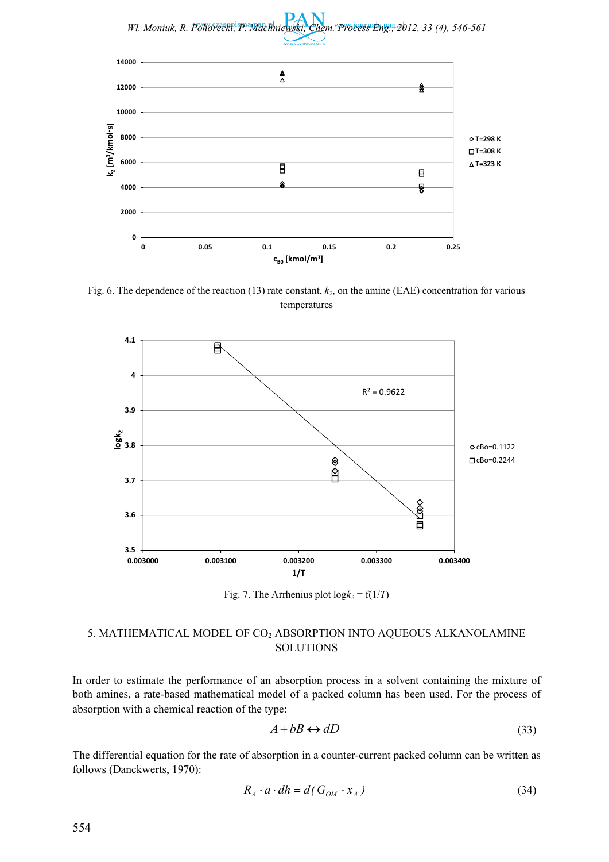

Fig. 6. The dependence of the reaction  $(13)$  rate constant,  $k_2$ , on the amine (EAE) concentration for various temperatures



Fig. 7. The Arrhenius plot  $log k_2 = f(1/T)$ 

## 5. MATHEMATICAL MODEL OF CO2 ABSORPTION INTO AQUEOUS ALKANOLAMINE **SOLUTIONS**

In order to estimate the performance of an absorption process in a solvent containing the mixture of both amines, a rate-based mathematical model of a packed column has been used. For the process of absorption with a chemical reaction of the type:

$$
A + bB \leftrightarrow dD \tag{33}
$$

The differential equation for the rate of absorption in a counter-current packed column can be written as follows (Danckwerts, 1970):

$$
R_A \cdot a \cdot dh = d(G_{OM} \cdot x_A)
$$
\n(34)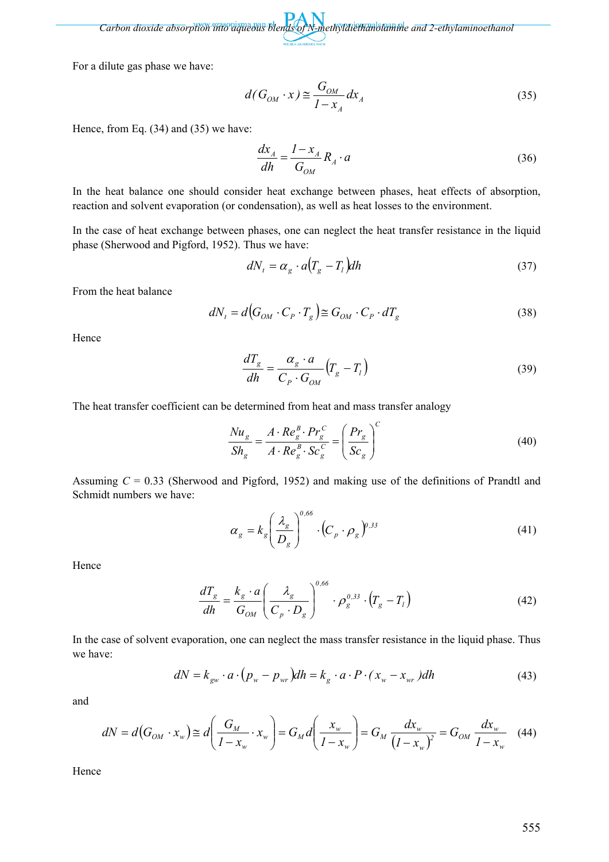*Carbon dioxide absorption into aqueous blends of N-methyldiethanolamine and 2-ethylaminoethanol* 

For a dilute gas phase we have:

$$
d(G_{OM} \cdot x) \cong \frac{G_{OM}}{1 - x_A} dx_A \tag{35}
$$

Hence, from Eq. (34) and (35) we have:

$$
\frac{dx_A}{dh} = \frac{I - x_A}{G_{OM}} R_A \cdot a \tag{36}
$$

In the heat balance one should consider heat exchange between phases, heat effects of absorption, reaction and solvent evaporation (or condensation), as well as heat losses to the environment.

In the case of heat exchange between phases, one can neglect the heat transfer resistance in the liquid phase (Sherwood and Pigford, 1952). Thus we have:

$$
dN_t = \alpha_g \cdot a \left( T_g - T_l \right) dh \tag{37}
$$

From the heat balance

$$
dN_t = d\big(G_{OM} \cdot C_P \cdot T_g\big) \cong G_{OM} \cdot C_P \cdot dT_g \tag{38}
$$

Hence

$$
\frac{dT_g}{dh} = \frac{\alpha_g \cdot a}{C_P \cdot G_{OM}} \left( T_g - T_l \right)
$$
\n(39)

The heat transfer coefficient can be determined from heat and mass transfer analogy

$$
\frac{Nu_s}{Sh_g} = \frac{A \cdot Re_g^B \cdot Pr_g^C}{A \cdot Re_g^B \cdot Sc_g^C} = \left(\frac{Pr_s}{Sc_g}\right)^C\tag{40}
$$

Assuming *C* = 0.33 (Sherwood and Pigford, 1952) and making use of the definitions of Prandtl and Schmidt numbers we have:

$$
\alpha_g = k_g \left(\frac{\lambda_g}{D_g}\right)^{0,66} \cdot \left(C_p \cdot \rho_g\right)^{0,33} \tag{41}
$$

Hence

$$
\frac{dT_g}{dh} = \frac{k_g \cdot a}{G_{OM}} \left( \frac{\lambda_g}{C_p \cdot D_g} \right)^{0.66} \cdot \rho_g^{0.33} \cdot \left( T_g - T_l \right)
$$
(42)

In the case of solvent evaporation, one can neglect the mass transfer resistance in the liquid phase. Thus we have:

$$
dN = k_{\rm gw} \cdot a \cdot (p_w - p_{\rm wr}) dh = k_{\rm g} \cdot a \cdot P \cdot (x_w - x_{\rm wr}) dh \tag{43}
$$

and

$$
dN = d(G_{OM} \cdot x_w) \cong d\left(\frac{G_M}{1 - x_w} \cdot x_w\right) = G_M d\left(\frac{x_w}{1 - x_w}\right) = G_M \frac{dx_w}{(1 - x_w)^2} = G_{OM} \frac{dx_w}{1 - x_w} \quad (44)
$$

Hence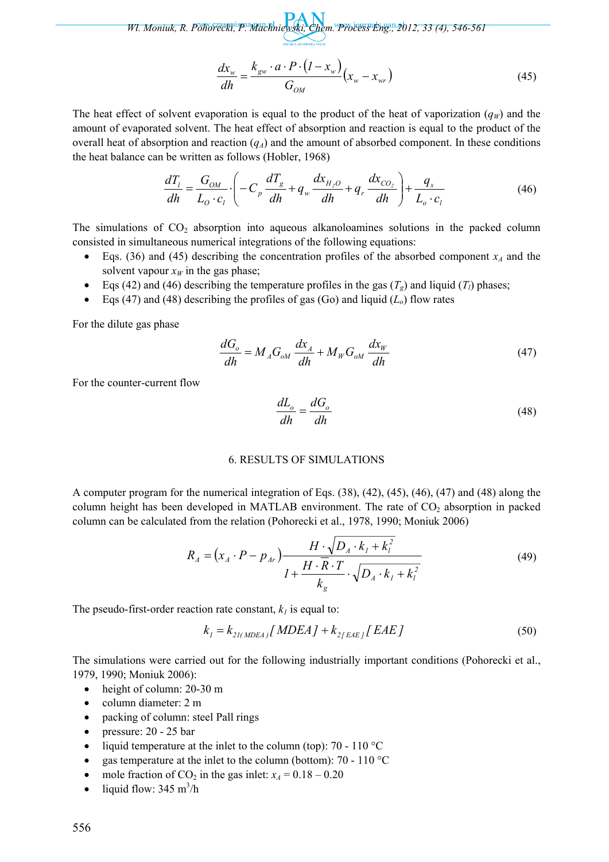$$
\frac{dx_w}{dh} = \frac{k_{gw} \cdot a \cdot P \cdot (I - x_w)}{G_{OM}} (x_w - x_{wr})
$$
\n(45)

The heat effect of solvent evaporation is equal to the product of the heat of vaporization  $(q<sub>W</sub>)$  and the amount of evaporated solvent. The heat effect of absorption and reaction is equal to the product of the overall heat of absorption and reaction  $(q_A)$  and the amount of absorbed component. In these conditions the heat balance can be written as follows (Hobler, 1968)

$$
\frac{dT_l}{dh} = \frac{G_{OM}}{L_O \cdot c_l} \cdot \left( -C_p \frac{dT_g}{dh} + q_w \frac{dx_{H_2O}}{dh} + q_r \frac{dx_{CO_2}}{dh} \right) + \frac{q_s}{L_o \cdot c_l}
$$
(46)

The simulations of  $CO<sub>2</sub>$  absorption into aqueous alkanoloamines solutions in the packed column consisted in simultaneous numerical integrations of the following equations:

- Eqs. (36) and (45) describing the concentration profiles of the absorbed component  $x_A$  and the solvent vapour  $x_W$  in the gas phase;
- Eqs (42) and (46) describing the temperature profiles in the gas  $(T_g)$  and liquid  $(T_l)$  phases;
- Eqs (47) and (48) describing the profiles of gas (Go) and liquid  $(L<sub>o</sub>)$  flow rates

For the dilute gas phase

$$
\frac{dG_o}{dh} = M_A G_{oM} \frac{dx_A}{dh} + M_W G_{oM} \frac{dx_W}{dh}
$$
\n(47)

For the counter-current flow

$$
\frac{dL_o}{dh} = \frac{dG_o}{dh} \tag{48}
$$

#### 6. RESULTS OF SIMULATIONS

A computer program for the numerical integration of Eqs. (38), (42), (45), (46), (47) and (48) along the column height has been developed in MATLAB environment. The rate of  $CO<sub>2</sub>$  absorption in packed column can be calculated from the relation (Pohorecki et al., 1978, 1990; Moniuk 2006)

$$
R_{A} = (x_{A} \cdot P - p_{Ar}) \frac{H \cdot \sqrt{D_{A} \cdot k_{I} + k_{I}^{2}}}{I + \frac{H \cdot \overline{R} \cdot T}{k_{g}} \cdot \sqrt{D_{A} \cdot k_{I} + k_{I}^{2}}}
$$
(49)

The pseudo-first-order reaction rate constant,  $k_l$  is equal to:

$$
k_{I} = k_{2I(MDEA)} [MDEA] + k_{2[EAE]} [EAE]
$$
\n(50)

The simulations were carried out for the following industrially important conditions (Pohorecki et al., 1979, 1990; Moniuk 2006):

- height of column: 20-30 m
- column diameter: 2 m
- packing of column: steel Pall rings
- pressure: 20 25 bar
- liquid temperature at the inlet to the column (top): 70 110  $^{\circ}$ C
- gas temperature at the inlet to the column (bottom): 70 110 °C
- mole fraction of  $CO_2$  in the gas inlet:  $x_A = 0.18 0.20$
- liquid flow:  $345 \text{ m}^3/\text{h}$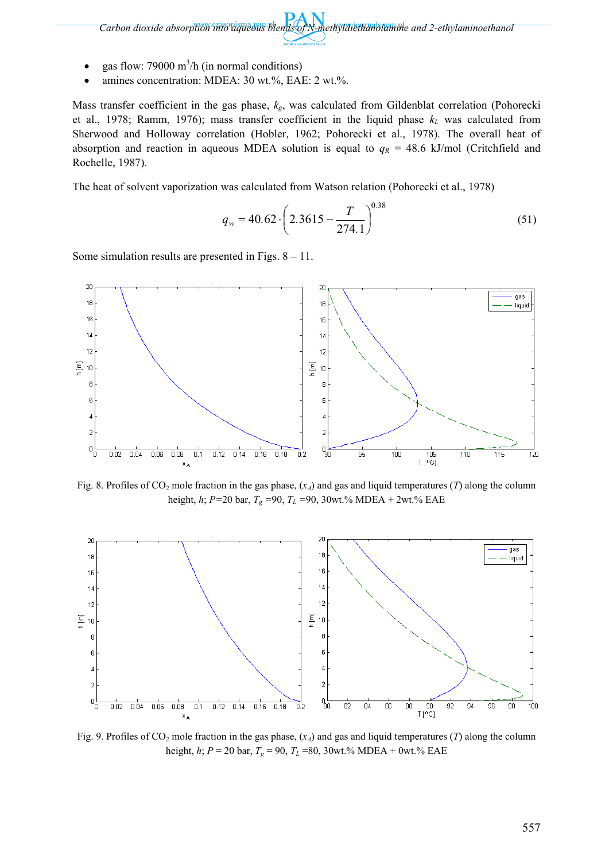*Carbon dioxide absorption into aqueous blends of N-methyldiethanolamine and 2-ethylaminoethanol* 

- gas flow: 79000  $\text{m}^3$ /h (in normal conditions)
- amines concentration: MDEA: 30 wt.%, EAE: 2 wt.%.

Mass transfer coefficient in the gas phase, *kg*, was calculated from Gildenblat correlation (Pohorecki et al., 1978; Ramm, 1976); mass transfer coefficient in the liquid phase  $k<sub>L</sub>$  was calculated from Sherwood and Holloway correlation (Hobler, 1962; Pohorecki et al., 1978). The overall heat of absorption and reaction in aqueous MDEA solution is equal to  $q_R = 48.6$  kJ/mol (Critchfield and Rochelle, 1987).

The heat of solvent vaporization was calculated from Watson relation (Pohorecki et al., 1978)

$$
q_w = 40.62 \cdot \left(2.3615 - \frac{T}{274.1}\right)^{0.38} \tag{51}
$$

Some simulation results are presented in Figs.  $8 - 11$ .



Fig. 8. Profiles of  $CO_2$  mole fraction in the gas phase,  $(x_A)$  and gas and liquid temperatures (*T*) along the column height, *h*; *P=*20 bar, *Tg =*90, *TL =*90, 30wt.% MDEA + 2wt.% EAE



Fig. 9. Profiles of  $CO_2$  mole fraction in the gas phase,  $(x_A)$  and gas and liquid temperatures (*T*) along the column height, *h*; *P* = 20 bar, *Tg* = 90, *TL* =80, 30wt.% MDEA + 0wt.% EAE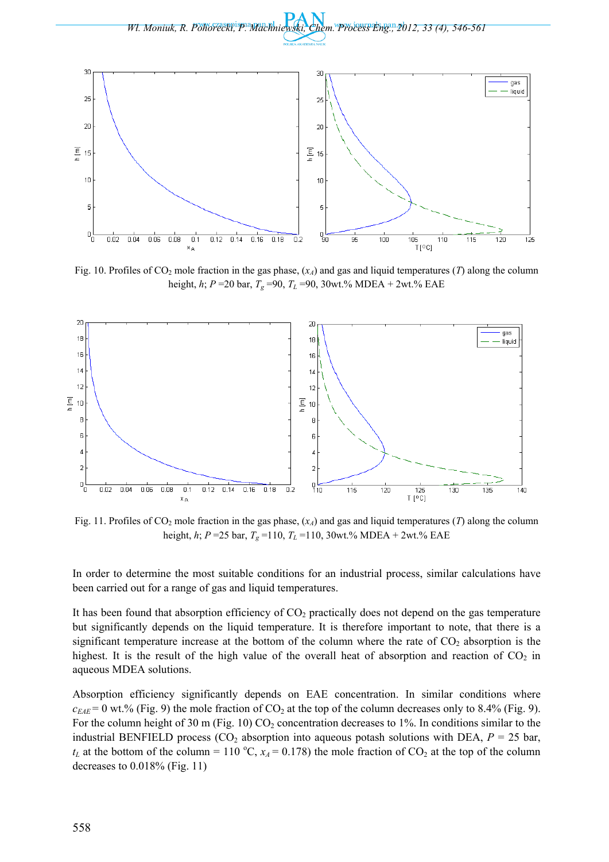



Fig. 10. Profiles of  $CO_2$  mole fraction in the gas phase,  $(x_A)$  and gas and liquid temperatures (*T*) along the column height, *h*; *P* =20 bar, *Tg* =90, *TL* =90, 30wt.% MDEA + 2wt.% EAE



Fig. 11. Profiles of  $CO_2$  mole fraction in the gas phase,  $(x_A)$  and gas and liquid temperatures (*T*) along the column height, *h*; *P* =25 bar, *Tg* =110, *TL* =110, 30wt.% MDEA + 2wt.% EAE

In order to determine the most suitable conditions for an industrial process, similar calculations have been carried out for a range of gas and liquid temperatures.

It has been found that absorption efficiency of  $CO<sub>2</sub>$  practically does not depend on the gas temperature but significantly depends on the liquid temperature. It is therefore important to note, that there is a significant temperature increase at the bottom of the column where the rate of  $CO<sub>2</sub>$  absorption is the highest. It is the result of the high value of the overall heat of absorption and reaction of  $CO<sub>2</sub>$  in aqueous MDEA solutions.

Absorption efficiency significantly depends on EAE concentration. In similar conditions where  $c_{EAE}$  = 0 wt.% (Fig. 9) the mole fraction of CO<sub>2</sub> at the top of the column decreases only to 8.4% (Fig. 9). For the column height of 30 m (Fig. 10)  $CO_2$  concentration decreases to 1%. In conditions similar to the industrial BENFIELD process ( $CO<sub>2</sub>$  absorption into aqueous potash solutions with DEA,  $P = 25$  bar,  $t_L$  at the bottom of the column = 110 °C,  $x_A$  = 0.178) the mole fraction of CO<sub>2</sub> at the top of the column decreases to 0.018% (Fig. 11)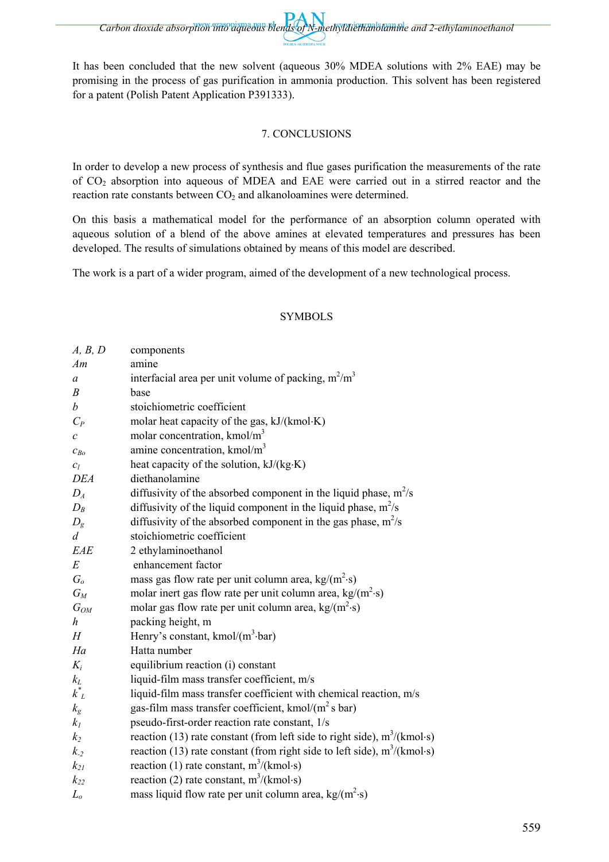*Carbon dioxide absorption into aqueous blends of N-methyldiethanolamine and 2-ethylaminoethanol* 

It has been concluded that the new solvent (aqueous 30% MDEA solutions with 2% EAE) may be promising in the process of gas purification in ammonia production. This solvent has been registered for a patent (Polish Patent Application P391333).

## 7. CONCLUSIONS

In order to develop a new process of synthesis and flue gases purification the measurements of the rate of  $CO<sub>2</sub>$  absorption into aqueous of MDEA and EAE were carried out in a stirred reactor and the reaction rate constants between  $CO<sub>2</sub>$  and alkanoloamines were determined.

On this basis a mathematical model for the performance of an absorption column operated with aqueous solution of a blend of the above amines at elevated temperatures and pressures has been developed. The results of simulations obtained by means of this model are described.

The work is a part of a wider program, aimed of the development of a new technological process.

### SYMBOLS

| A, B, D                     | components                                                                 |
|-----------------------------|----------------------------------------------------------------------------|
| Am                          | amine                                                                      |
| a                           | interfacial area per unit volume of packing, $m^2/m^3$                     |
| $\boldsymbol{B}$            | base                                                                       |
| $\boldsymbol{b}$            | stoichiometric coefficient                                                 |
| $C_P$                       | molar heat capacity of the gas, kJ/(kmol·K)                                |
| $\mathcal{C}_{\mathcal{C}}$ | molar concentration, kmol/m <sup>3</sup>                                   |
| $c_{Bo}$                    | amine concentration, kmol/m <sup>3</sup>                                   |
| $c_l$                       | heat capacity of the solution, kJ/(kg·K)                                   |
| <b>DEA</b>                  | diethanolamine                                                             |
| $D_A$                       | diffusivity of the absorbed component in the liquid phase, $m^2/s$         |
| $D_B$                       | diffusivity of the liquid component in the liquid phase, $m^2/s$           |
| $D_{g}$                     | diffusivity of the absorbed component in the gas phase, $m^2/s$            |
| $\overline{d}$              | stoichiometric coefficient                                                 |
| EAE                         | 2 ethylaminoethanol                                                        |
| $E_{\rm}$                   | enhancement factor                                                         |
| G <sub>o</sub>              | mass gas flow rate per unit column area, $kg/(m^2 \cdot s)$                |
| $G_M$                       | molar inert gas flow rate per unit column area, $kg/(m^2 \cdot s)$         |
| $G_{OM}$                    | molar gas flow rate per unit column area, $kg/(m^2 \cdot s)$               |
| h                           | packing height, m                                                          |
| H                           | Henry's constant, kmol/ $(m^3$ -bar)                                       |
| Ha                          | Hatta number                                                               |
| $K_i$                       | equilibrium reaction (i) constant                                          |
| $k_L$                       | liquid-film mass transfer coefficient, m/s                                 |
| $k_L^*$                     | liquid-film mass transfer coefficient with chemical reaction, m/s          |
| $k_{\rm g}$                 | gas-film mass transfer coefficient, kmol/ $(m^2 s bar)$                    |
| $k_I$                       | pseudo-first-order reaction rate constant, 1/s                             |
| k <sub>2</sub>              | reaction (13) rate constant (from left side to right side), $m^3/(kmol·s)$ |
| $k_{-2}$                    | reaction (13) rate constant (from right side to left side), $m^3/(kmol·s)$ |
| $k_{21}$                    | reaction (1) rate constant, $m^3/(kmol·s)$                                 |
| $k_{22}$                    | reaction (2) rate constant, $m^3/(kmol·s)$                                 |
| $L_o$                       | mass liquid flow rate per unit column area, $\text{kg/(m}^2\text{-s})$     |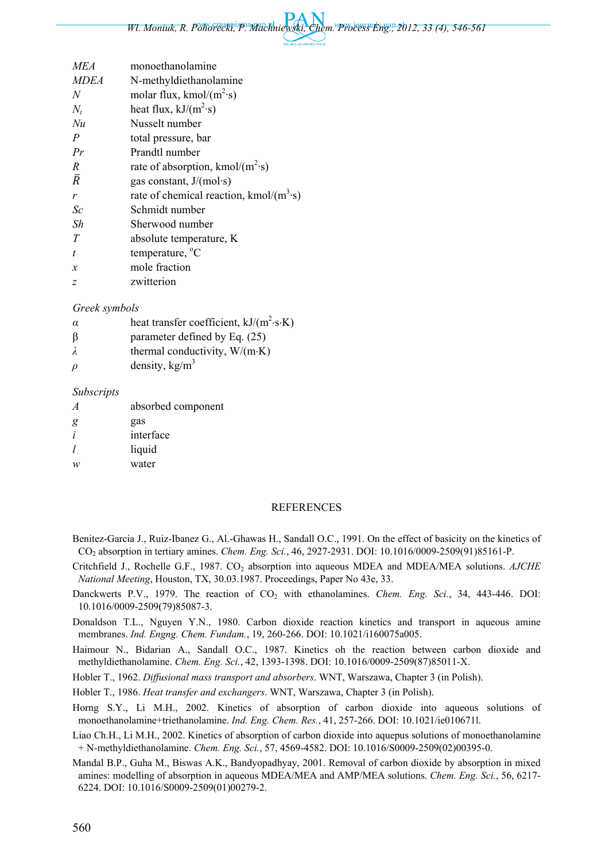| <i>MEA</i>       | monoethanolamine                          |
|------------------|-------------------------------------------|
| <b>MDEA</b>      | N-methyldiethanolamine                    |
| N                | molar flux, kmol/ $(m^2 \cdot s)$         |
| $N_t$            | heat flux, $kJ/(m^2s)$                    |
| Nu               | Nusselt number                            |
| $\boldsymbol{P}$ | total pressure, bar                       |
| Pr               | Prandtl number                            |
| $\overline{R}$   | rate of absorption, kmol/ $(m^2s)$        |
| $\bar{R}$        | gas constant, $J/(mol·s)$                 |
| $\mathbf{r}$     | rate of chemical reaction, kmol/ $(m3·s)$ |
| Sc               | Schmidt number                            |
| Sh               | Sherwood number                           |
| T                | absolute temperature, K                   |
| $\boldsymbol{t}$ | temperature, $^{\circ}C$                  |
| $\mathcal{X}$    | mole fraction                             |
| z                | zwitterion                                |
|                  |                                           |

#### *Greek symbols*

- *α* heat transfer coefficient,  $kJ/(m^2 \cdot s \cdot K)$
- βparameter defined by Eq. (25)
- *λ* thermal conductivity, W/(m⋅K)
- $\rho$  density, kg/m<sup>3</sup>

#### *Subscripts*

| $\overline{A}$ | absorbed component |
|----------------|--------------------|
| g              | gas                |
| i              | interface          |
| 1              | liquid             |
| w              | water              |
|                |                    |

#### REFERENCES

- Benitez-Garcia J., Ruiz-Ibanez G., Al.-Ghawas H., Sandall O.C., 1991. On the effect of basicity on the kinetics of CO2 absorption in tertiary amines. *Chem. Eng. Sci.*, 46, 2927-2931. DOI: 10.1016/0009-2509(91)85161-P.
- Critchfield J., Rochelle G.F., 1987. CO2 absorption into aqueous MDEA and MDEA/MEA solutions. *AJCHE National Meeting*, Houston, TX, 30.03.1987. Proceedings, Paper No 43e, 33.
- Danckwerts P.V., 1979. The reaction of CO<sub>2</sub> with ethanolamines. *Chem. Eng. Sci.*, 34, 443-446. DOI: 10.1016/0009-2509(79)85087-3.
- Donaldson T.L., Nguyen Y.N., 1980. Carbon dioxide reaction kinetics and transport in aqueous amine membranes. *Ind. Engng. Chem. Fundam.*, 19, 260-266. DOI: 10.1021/i160075a005.
- Haimour N., Bidarian A., Sandall O.C., 1987. Kinetics oh the reaction between carbon dioxide and methyldiethanolamine. *Chem. Eng. Sci.*, 42, 1393-1398. DOI: 10.1016/0009-2509(87)85011-X.
- Hobler T., 1962. *Diffusional mass transport and absorbers*. WNT, Warszawa, Chapter 3 (in Polish).
- Hobler T., 1986. *Heat transfer and exchangers*. WNT, Warszawa, Chapter 3 (in Polish).
- Horng S.Y., Li M.H., 2002. Kinetics of absorption of carbon dioxide into aqueous solutions of monoethanolamine+triethanolamine. *Ind. Eng. Chem. Res.*, 41, 257-266. DOI: 10.1021/ie010671l.
- Liao Ch.H., Li M.H., 2002. Kinetics of absorption of carbon dioxide into aquepus solutions of monoethanolamine + N-methyldiethanolamine. *Chem. Eng. Sci.*, 57, 4569-4582. DOI: 10.1016/S0009-2509(02)00395-0.
- Mandal B.P., Guha M., Biswas A.K., Bandyopadhyay, 2001. Removal of carbon dioxide by absorption in mixed amines: modelling of absorption in aqueous MDEA/MEA and AMP/MEA solutions. *Chem. Eng. Sci.*, 56, 6217- 6224. DOI: 10.1016/S0009-2509(01)00279-2.